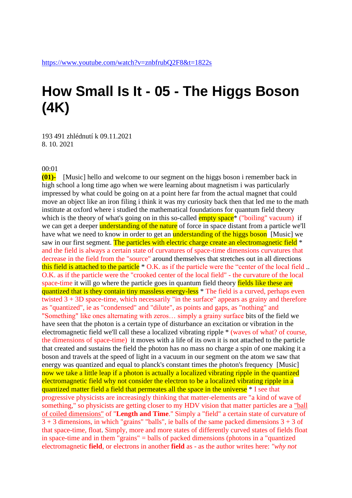## **How Small Is It - 05 - The Higgs Boson (4K)**

193 491 zhlédnutí k 09.11.2021 8. 10. 2021

## 00:01

**(01)-** [Music] hello and welcome to our segment on the higgs boson i remember back in high school a long time ago when we were learning about magnetism i was particularly impressed by what could be going on at a point here far from the actual magnet that could move an object like an iron filing i think it was my curiosity back then that led me to the math institute at oxford where i studied the mathematical foundations for quantum field theory which is the theory of what's going on in this so-called  $\frac{empty space}{*}$  ("boiling" vacuum) if we can get a deeper understanding of the nature of force in space distant from a particle we'll have what we need to know in order to get an **understanding of the higgs boson** [Music] we saw in our first segment. The particles with electric charge create an electromagnetic field  $*$ and the field is always a certain state of curvatures of space-time dimensions curvatures that decrease in the field from the "source" around themselves that stretches out in all directions this field is attached to the particle  $*$  O.K. as if the particle were the "center of the local field.. O.K. as if the particle were the "crooked center of the local field" - the curvature of the local space-time it will go where the particle goes in quantum field theory fields like these are quantized that is they contain tiny massless energy-less<sup>\*</sup> The field is a curved, perhaps even twisted  $3 + 3D$  space-time, which necessarily "in the surface" appears as grainy and therefore as "quantized", ie as "condensed" and "dilute", as points and gaps, as "nothing" and "Something" like ones alternating with zeros… simply a grainy surface bits of the field we have seen that the photon is a certain type of disturbance an excitation or vibration in the electromagnetic field we'll call these a localized vibrating ripple \* (waves of what? of course, the dimensions of space-time) it moves with a life of its own it is not attached to the particle that created and sustains the field the photon has no mass no charge a spin of one making it a boson and travels at the speed of light in a vacuum in our segment on the atom we saw that energy was quantized and equal to planck's constant times the photon's frequency [Music] now we take a little leap if a photon is actually a localized vibrating ripple in the quantized electromagnetic field why not consider the electron to be a localized vibrating ripple in a quantized matter field a field that permeates all the space in the universe  $*$  I see that progressive physicists are increasingly thinking that matter-elements are "a kind of wave of something," so physicists are getting closer to my HDV vision that matter particles are a "ball" of coiled dimensions" of "**Length and Time**." Simply a "field" a certain state of curvature of  $3 + 3$  dimensions, in which "grains" "balls", ie balls of the same packed dimensions  $3 + 3$  of that space-time, float. Simply, more and more states of differently curved states of fields float in space-time and in them "grains" = balls of packed dimensions (photons in a "quantized electromagnetic **field**, or electrons in another **field** as - as the author writes here: *"why not*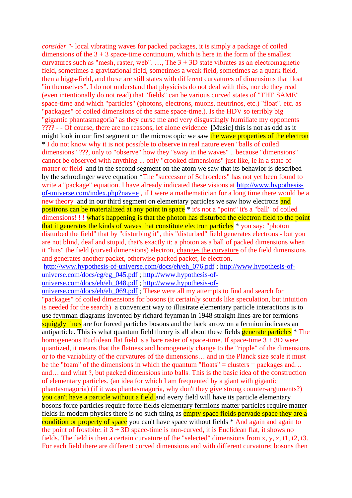*consider "*- local vibrating waves for packed packages, it is simply a package of coiled dimensions of the  $3 + 3$  space-time continuum, which is here in the form of the smallest curvatures such as "mesh, raster, web". ..., The  $3 + 3D$  state vibrates as an electromagnetic field**,** sometimes a gravitational field, sometimes a weak field, sometimes as a quark field, then a higgs-field, and these are still states with different curvatures of dimensions that float "in themselves". I do not understand that physicists do not deal with this, nor do they read (even intentionally do not read) that "fields" can be various curved states of "THE SAME" space-time and which "particles" (photons, electrons, muons, neutrinos, etc.) "float". etc. as "packages" of coiled dimensions of the same space-time.). Is the HDV so terribly big "gigantic phantasmagoria" as they curse me and very disgustingly humiliate my opponents ???? - - Of course, there are no reasons, let alone evidence [Music] this is not as odd as it might look in our first segment on the microscopic we saw the wave properties of the electron \* I do not know why it is not possible to observe in real nature even "balls of coiled dimensions" ???, only to "observe" how they "sway in the waves" .. because "dimensions" cannot be observed with anything ... only "crooked dimensions" just like, ie in a state of matter or field and in the second segment on the atom we saw that its behavior is described by the schrodinger wave equation \*The "successor of Schroeders" has not yet been found to write a "package" equation. I have already indicated these visions at [http://www.hypothesis](http://www.hypothesis-of-universe.com/index.php?nav=e)[of-universe.com/index.php?nav=e](http://www.hypothesis-of-universe.com/index.php?nav=e) , if I were a mathematician for a long time there would be a new theory and in our third segment on elementary particles we saw how electrons and positrons can be materialized at any point in space \* it's not a "point" it's a "ball" of coiled dimensions!!! what's happening is that the photon has disturbed the electron field to the point that it generates the kinds of waves that constitute electron particles \* you say: "photon disturbed the field" that by "disturbing it", this "disturbed" field generates electrons - but you are not blind, deaf and stupid, that's exactly it: a photon as a ball of packed dimensions when it "hits" the field (curved dimensions) electron, changes the curvature of the field dimensions and generates another packet, otherwise packed packet, ie electron.

[http://www.hypothesis-of-universe.com/docs/eh/eh\\_076.pdf](http://www.hypothesis-of-universe.com/docs/eh/eh_076.pdf) ; [http://www.hypothesis-of-](http://www.hypothesis-of-universe.com/docs/eg/eg_045.pdf)

[universe.com/docs/eg/eg\\_045.pdf](http://www.hypothesis-of-universe.com/docs/eg/eg_045.pdf) ; [http://www.hypothesis-of-](http://www.hypothesis-of-universe.com/docs/eh/eh_048.pdf)

[universe.com/docs/eh/eh\\_048.pdf](http://www.hypothesis-of-universe.com/docs/eh/eh_048.pdf) ; [http://www.hypothesis-of-](http://www.hypothesis-of-universe.com/docs/eh/eh_069.pdf)

[universe.com/docs/eh/eh\\_069.pdf](http://www.hypothesis-of-universe.com/docs/eh/eh_069.pdf) ; These were all my attempts to find and search for "packages" of coiled dimensions for bosons (it certainly sounds like speculation, but intuition is needed for the search) a convenient way to illustrate elementary particle interactions is to use feynman diagrams invented by richard feynman in 1948 straight lines are for fermions squiggly lines are for forced particles bosons and the back arrow on a fermion indicates an antiparticle. This is what quantum field theory is all about these fields generate particles \* The homogeneous Euclidean flat field is a bare raster of space-time. If space-time  $3 + 3D$  were quantized, it means that the flatness and homogeneity change to the "ripple" of the dimensions or to the variability of the curvatures of the dimensions… and in the Planck size scale it must be the "foam" of the dimensions in which the quantum "floats" = clusters = packages and... and… and what ?, but packed dimensions into balls. This is the basic idea of the construction of elementary particles. (an idea for which I am frequented by a giant with gigantic phantasmagoria) (if it was phantasmagoria, why don't they give strong counter-arguments?) you can't have a particle without a field and every field will have its particle elementary bosons force particles require force fields elementary fermions matter particles require matter fields in modern physics there is no such thing as empty space fields pervade space they are a condition or property of space you can't have space without fields \* And again and again to the point of frostbite: if  $3 + 3D$  space-time is non-curved, it is Euclidean flat, it shows no fields. The field is then a certain curvature of the "selected" dimensions from x, y, z, t1, t2, t3. For each field there are different curved dimensions and with different curvature; bosons then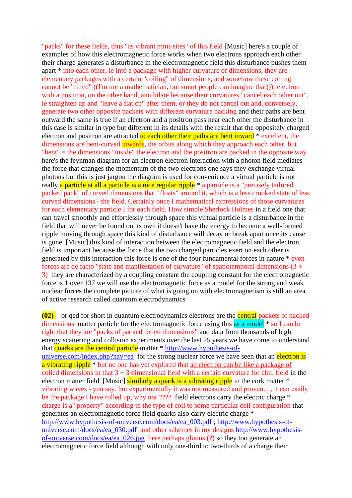"packs" for these fields, thus "as vibrant mini-sites" of this field [Music] here's a couple of examples of how this electromagnetic force works when two electrons approach each other their charge generates a disturbance in the electromagnetic field this disturbance pushes them apart \* into each other, ie into a package with higher curvature of dimensions, they are elementary packages with a certain "coiling" of dimensions, and somehow these coiling cannot be "fitted" ((I'm not a mathematician, but smart people can imagine that))); electron with a positron, on the other hand, annihilate because their curvatures "cancel each other out", ie straighten up and "leave a flat cp" after them, or they do not cancel out and, conversely, generate two other opposite packets with different curvature packing and their paths are bent outward the same is true if an electron and a positron pass near each other the disturbance in this case is similar in type but different in its details with the result that the oppositely charged electron and positron are attracted to each other their paths are bent inward \* excellent, the dimensions are bent-curved inwards, the orbits along which they approach each other, but "bent" = the dimensions "inside" the electron and the positron are packed in the opposite way here's the feynman diagram for an electron electron interaction with a photon field mediates the force that changes the momentum of the two electrons one says they exchange virtual photons but this is just jargon the diagram is used for convenience a virtual particle is not really a particle at all a particle is a nice regular ripple<sup>\*</sup> a particle is a "precisely tailored packed pack" of curved dimensions that "floats" around it, which is a less crooked state of less curved dimensions - the field. Certainly once I mathematical expressions of those curvatures for each elementary particle I for each field. How simple Sherlock Holmes in a field one that can travel smoothly and effortlessly through space this virtual particle is a disturbance in the field that will never be found on its own it doesn't have the energy to become a well-formed ripple moving through space this kind of disturbance will decay or break apart once its cause is gone [Music] this kind of interaction between the electromagnetic field and the electron field is important because the force that the two charged particles exert on each other is generated by this interaction this force is one of the four fundamental forces in nature \* even forces are de facto "state and manifestation of curvature" of spatiotemporal dimensions  $(3 +$ 3) they are characterized by a coupling constant the coupling constant for the electromagnetic force is 1 over 137 we will use the electromagnetic force as a model for the strong and weak nuclear forces the complete picture of what is going on with electromagnetism is still an area of active research called quantum electrodynamics

**(02)-** or qed for short in quantum electrodynamics electrons are the central packets of packed dimensions matter particle for the electromagnetic force using this as a model  $*$  so I can be right that they are "packs of packed rolled dimensions" and data from thousands of high energy scattering and collision experiments over the last 25 years we have come to understand that quarks are the central particle matter \* [http://www.hypothesis-of](http://www.hypothesis-of-universe.com/index.php?nav=ea)[universe.com/index.php?nav=ea](http://www.hypothesis-of-universe.com/index.php?nav=ea) for the strong nuclear force we have seen that an electron is a vibrating ripple<sup>\*</sup> but no one has yet explored that an electron can be like a package of coiled dimensions in that  $3 + 3$  dimensional field with a certain curvature for elm. field in the electron matter field [Music] similarly a quark is a vibrating ripple in the cork matter \* vibrating waves - you say, but experimentally it was not measured and proven…, it can easily be the package I have rolled up, why not ???? field electrons carry the electric charge \* charge is a "property" according to the type of coil to some particular coil configuration that generates an electromagnetic force field quarks also carry electric charge \* [http://www.hypothesis-of-universe.com/docs/ea/ea\\_003.pdf](http://www.hypothesis-of-universe.com/docs/ea/ea_003.pdf) ; [http://www.hypothesis-of](http://www.hypothesis-of-universe.com/docs/ea/ea_030.pdf)[universe.com/docs/ea/ea\\_030.pdf](http://www.hypothesis-of-universe.com/docs/ea/ea_030.pdf) and other schemes in my designs [http://www.hypothesis](http://www.hypothesis-of-universe.com/docs/ea/ea_026.jpg)[of-universe.com/docs/ea/ea\\_026.jpg](http://www.hypothesis-of-universe.com/docs/ea/ea_026.jpg) here perhaps gluons (?) so they too generate an electromagnetic force field although with only one-third to two-thirds of a charge their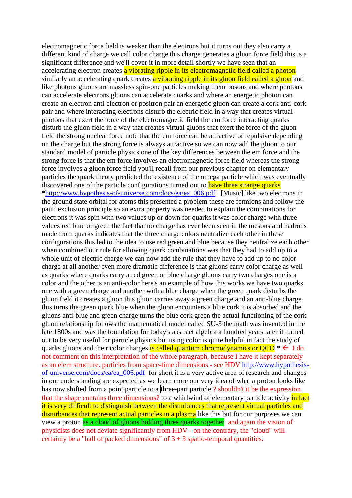electromagnetic force field is weaker than the electrons but it turns out they also carry a different kind of charge we call color charge this charge generates a gluon force field this is a significant difference and we'll cover it in more detail shortly we have seen that an accelerating electron creates a vibrating ripple in its electromagnetic field called a photon similarly an accelerating quark creates a vibrating ripple in its gluon field called a gluon and like photons gluons are massless spin-one particles making them bosons and where photons can accelerate electrons gluons can accelerate quarks and where an energetic photon can create an electron anti-electron or positron pair an energetic gluon can create a cork anti-cork pair and where interacting electrons disturb the electric field in a way that creates virtual photons that exert the force of the electromagnetic field the em force interacting quarks disturb the gluon field in a way that creates virtual gluons that exert the force of the gluon field the strong nuclear force note that the em force can be attractive or repulsive depending on the charge but the strong force is always attractive so we can now add the gluon to our standard model of particle physics one of the key differences between the em force and the strong force is that the em force involves an electromagnetic force field whereas the strong force involves a gluon force field you'll recall from our previous chapter on elementary particles the quark theory predicted the existence of the omega particle which was eventually discovered one of the particle configurations turned out to have three strange quarks [\\*http://www.hypothesis-of-universe.com/docs/ea/ea\\_006.pdf](http://www.hypothesis-of-universe.com/docs/ea/ea_006.pdf) [Music] like two electrons in the ground state orbital for atoms this presented a problem these are fermions and follow the pauli exclusion principle so an extra property was needed to explain the combinations for electrons it was spin with two values up or down for quarks it was color charge with three values red blue or green the fact that no charge has ever been seen in the mesons and hadrons made from quarks indicates that the three charge colors neutralize each other in these configurations this led to the idea to use red green and blue because they neutralize each other when combined our rule for allowing quark combinations was that they had to add up to a whole unit of electric charge we can now add the rule that they have to add up to no color charge at all another even more dramatic difference is that gluons carry color charge as well as quarks where quarks carry a red green or blue charge gluons carry two charges one is a color and the other is an anti-color here's an example of how this works we have two quarks one with a green charge and another with a blue charge when the green quark disturbs the gluon field it creates a gluon this gluon carries away a green charge and an anti-blue charge this turns the green quark blue when the gluon encounters a blue cork it is absorbed and the gluons anti-blue and green charge turns the blue cork green the actual functioning of the cork gluon relationship follows the mathematical model called SU-3 the math was invented in the late 1800s and was the foundation for today's abstract algebra a hundred years later it turned out to be very useful for particle physics but using color is quite helpful in fact the study of quarks gluons and their color charges is called quantum chromodynamics or  $QCD^* \leftarrow I$  do not comment on this interpretation of the whole paragraph, because I have it kept separately as an elem structure. particles from space-time dimensions - see HDV [http://www.hypothesis](http://www.hypothesis-of-universe.com/docs/ea/ea_006.pdf)[of-universe.com/docs/ea/ea\\_006.pdf](http://www.hypothesis-of-universe.com/docs/ea/ea_006.pdf) for short it is a very active area of research and changes in our understanding are expected as we learn more our very idea of what a proton looks like has now shifted from a point particle to a three-part particle ? shouldn't it be the expression that the shape contains three dimensions? to a whirlwind of elementary particle activity in fact it is very difficult to distinguish between the disturbances that represent virtual particles and disturbances that represent actual particles in a plasma like this but for our purposes we can view a proton as a cloud of gluons holding three quarks together and again the vision of physicists does not deviate significantly from HDV - on the contrary, the "cloud" will certainly be a "ball of packed dimensions" of  $3 + 3$  spatio-temporal quantities.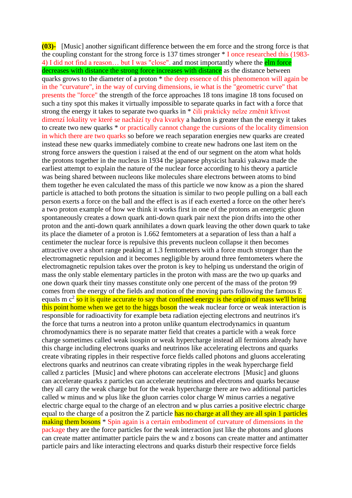**(03)-** [Music] another significant difference between the em force and the strong force is that the coupling constant for the strong force is 137 times stronger \* I once researched this (1983- 4) I did not find a reason... but I was "close". and most importantly where the **elm force** decreases with distance the strong force increases with distance as the distance between quarks grows to the diameter of a proton \* the deep essence of this phenomenon will again be in the "curvature", in the way of curving dimensions, ie what is the "geometric curve" that presents the "force" the strength of the force approaches 18 tons imagine 18 tons focused on such a tiny spot this makes it virtually impossible to separate quarks in fact with a force that strong the energy it takes to separate two quarks in \* čili prakticky nelze změnit křivost dimenzí lokality ve které se nachází ty dva kvarky a hadron is greater than the energy it takes to create two new quarks \* or practically cannot change the cursions of the locality dimension in which there are two quarks so before we reach separation energies new quarks are created instead these new quarks immediately combine to create new hadrons one last item on the strong force answers the question i raised at the end of our segment on the atom what holds the protons together in the nucleus in 1934 the japanese physicist haraki yakawa made the earliest attempt to explain the nature of the nuclear force according to his theory a particle was being shared between nucleons like molecules share electrons between atoms to bind them together he even calculated the mass of this particle we now know as a pion the shared particle is attached to both protons the situation is similar to two people pulling on a ball each person exerts a force on the ball and the effect is as if each exerted a force on the other here's a two proton example of how we think it works first in one of the protons an energetic gluon spontaneously creates a down quark anti-down quark pair next the pion drifts into the other proton and the anti-down quark annihilates a down quark leaving the other down quark to take its place the diameter of a proton is 1.662 femtometers at a separation of less than a half a centimeter the nuclear force is repulsive this prevents nucleon collapse it then becomes attractive over a short range peaking at 1.3 femtometers with a force much stronger than the electromagnetic repulsion and it becomes negligible by around three femtometers where the electromagnetic repulsion takes over the proton is key to helping us understand the origin of mass the only stable elementary particles in the proton with mass are the two up quarks and one down quark their tiny masses constitute only one percent of the mass of the proton 99 comes from the energy of the fields and motion of the moving parts following the famous E equals m c<sup>2</sup> so it is quite accurate to say that confined energy is the origin of mass we'll bring this point home when we get to the higgs boson the weak nuclear force or weak interaction is responsible for radioactivity for example beta radiation ejecting electrons and neutrinos it's the force that turns a neutron into a proton unlike quantum electrodynamics in quantum chromodynamics there is no separate matter field that creates a particle with a weak force charge sometimes called weak isospin or weak hypercharge instead all fermions already have this charge including electrons quarks and neutrinos like accelerating electrons and quarks create vibrating ripples in their respective force fields called photons and gluons accelerating electrons quarks and neutrinos can create vibrating ripples in the weak hypercharge field called z particles [Music] and where photons can accelerate electrons [Music] and gluons can accelerate quarks z particles can accelerate neutrinos and electrons and quarks because they all carry the weak charge but for the weak hypercharge there are two additional particles called w minus and w plus like the gluon carries color charge W minus carries a negative electric charge equal to the charge of an electron and w plus carries a positive electric charge equal to the charge of a positron the Z particle has no charge at all they are all spin 1 particles making them bosons \* Spin again is a certain embodiment of curvature of dimensions in the package they are the force particles for the weak interaction just like the photons and gluons can create matter antimatter particle pairs the w and z bosons can create matter and antimatter particle pairs and like interacting electrons and quarks disturb their respective force fields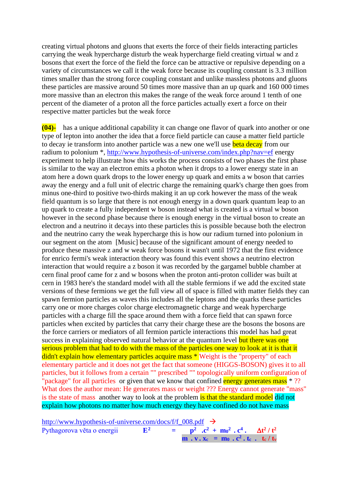creating virtual photons and gluons that exerts the force of their fields interacting particles carrying the weak hypercharge disturb the weak hypercharge field creating virtual w and z bosons that exert the force of the field the force can be attractive or repulsive depending on a variety of circumstances we call it the weak force because its coupling constant is 3.3 million times smaller than the strong force coupling constant and unlike massless photons and gluons these particles are massive around 50 times more massive than an up quark and 160 000 times more massive than an electron this makes the range of the weak force around 1 tenth of one percent of the diameter of a proton all the force particles actually exert a force on their respective matter particles but the weak force

**(04)-** has a unique additional capability it can change one flavor of quark into another or one type of lepton into another the idea that a force field particle can cause a matter field particle to decay ie transform into another particle was a new one we'll use **beta decay** from our radium to polonium \*,<http://www.hypothesis-of-universe.com/index.php?nav=ef> energy experiment to help illustrate how this works the process consists of two phases the first phase is similar to the way an electron emits a photon when it drops to a lower energy state in an atom here a down quark drops to the lower energy up quark and emits a w boson that carries away the energy and a full unit of electric charge the remaining quark's charge then goes from minus one-third to positive two-thirds making it an up cork however the mass of the weak field quantum is so large that there is not enough energy in a down quark quantum leap to an up quark to create a fully independent w boson instead what is created is a virtual w boson however in the second phase because there is enough energy in the virtual boson to create an electron and a neutrino it decays into these particles this is possible because both the electron and the neutrino carry the weak hypercharge this is how our radium turned into polonium in our segment on the atom [Music] because of the significant amount of energy needed to produce these massive z and w weak force bosons it wasn't until 1972 that the first evidence for enrico fermi's weak interaction theory was found this event shows a neutrino electron interaction that would require a z boson it was recorded by the gargamel bubble chamber at cern final proof came for z and w bosons when the proton anti-proton collider was built at cern in 1983 here's the standard model with all the stable fermions if we add the excited state versions of these fermions we get the full view all of space is filled with matter fields they can spawn fermion particles as waves this includes all the leptons and the quarks these particles carry one or more charges color charge electromagnetic charge and weak hypercharge particles with a charge fill the space around them with a force field that can spawn force particles when excited by particles that carry their charge these are the bosons the bosons are the force carriers or mediators of all fermion particle interactions this model has had great success in explaining observed natural behavior at the quantum level but there was one serious problem that had to do with the mass of the particles one way to look at it is that it didn't explain how elementary particles acquire mass \* Weight is the "property" of each elementary particle and it does not get the fact that someone (HIGGS-BOSON) gives it to all particles, but it follows from a certain "" prescribed "" topologically uniform configuration of "package" for all particles or given that we know that confined energy generates mass  $*$  ?? What does the author mean: He generates mass or weight ??? Energy cannot generate "mass" is the state of mass another way to look at the problem is that the standard model did not explain how photons no matter how much energy they have confined do not have mass

[http://www.hypothesis-of-universe.com/docs/f/f\\_008.pdf](http://www.hypothesis-of-universe.com/docs/f/f_008.pdf)  $\rightarrow$ Pythagorova věta o energii **E<sup>2</sup> = p 2**  $\cdot$  **c**<sup>2</sup>  $+$  **m**<sub>0</sub><sup>2</sup>  $\cdot$  **c**<sup>4</sup>  $\cdot$  **dt**<sup>2</sup> / t<sup>2</sup> **m . v . x**<sub>c</sub> = **m**<sub>0</sub> **. c**<sup>2</sup> **. t**<sub>c</sub> / **t**<sub>v</sub>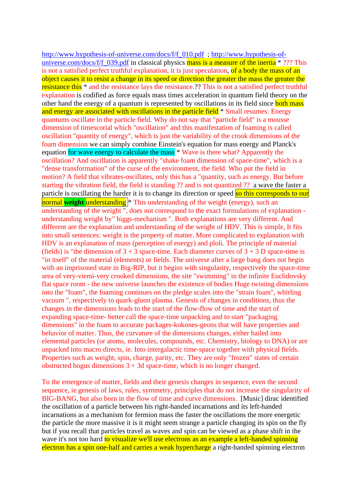[http://www.hypothesis-of-universe.com/docs/f/f\\_010.pdf](http://www.hypothesis-of-universe.com/docs/f/f_010.pdf) ; [http://www.hypothesis-of](http://www.hypothesis-of-universe.com/docs/f/f_039.pdf)universe.com/docs/f/f 039.pdf in classical physics mass is a measure of the inertia \* ??? This is not a satisfied perfect truthful explanation, it is just speculation, of a body the mass of an object causes it to resist a change in its speed or direction the greater the mass the greater the resistance this \* and the resistance lays the resistance.?? This is not a satisfied perfect truthful explanation is codified as force equals mass times acceleration in quantum field theory on the other hand the energy of a quantum is represented by oscillations in its field since both mass and energy are associated with oscillations in the particle field \* Small resumes: Energy quantums oscillate in the particle field. Why do not say that "particle field" is a mousse dimension of timescorial which "oscillation" and this manifestation of foaming is called oscillation "quantity of energy", which is just the variability of the crook dimensions of the foam dimension we can simply combine Einstein's equation for mass energy and Planck's equation for wave energy to calculate the mass \* Wave is there what? Apparently the oscillation? And oscillation is apparently "shake foam dimension of space-time", which is a "dense transformation" of the curse of the environment, the field. Who put the field in motion? A field that vibrates-oscillates, only this has a "quantity, such as energy. But before starting the vibration field, the field is standing ?? and is not quantized ?? a wave the faster a particle is oscillating the harder it is to change its direction or speed so this corresponds to our **normal weight understanding** \* This understanding of the weight (energy), such an understanding of the weight ", does not correspond to the exact formulations of explanation understanding weight by" higgs-mechanism ". Both explanations are very different. And different are the explanation and understanding of the weight of HDV. This is simple, It fits into small sentences: weight is the property of matter. More complicated to explanation with HDV is an explanation of mass (perception of energy) and ploli. The principle of material (fields) is "the dimension of  $3 + 3$  space-time. Each diameter curves of  $3 + 3$  D space-time is "in itself" of the material (elements) or fields. The universe after a large bang does not begin with an imprisoned state in Big-RIP, but it begins with singularity, respectively the space-time area of very-viemi-very crooked dimensions, the site "swimming" in the infinite Euclidovsky flat space room - the new universe launches the existence of bodies Huge twisting dimensions into the "foam", the foaming continues on the pledge scales into the "strain foam", whirling vacuum ", respectively to quark-gluon plasma. Genesis of changes in conditions, thus the changes in the dimensions leads to the start of the flow-flow of time and the start of expanding space-time- better call the space-time unpacking and to start "packaging dimensions" in the foam to accurate packages-kokones-geons that will have properties and behavior of matter. Thus, the curvature of the dimensions changes, either bailed into elemental particles (or atoms, molecules, compounds, etc. Chemistry, biology to DNA) or are unpacked into macro directs, ie. Into intergalactic time-space together with physical fields. Properties such as weight, spin, charge, parity, etc. They are only "frozen" states of certain obstructed bogus dimensions  $3 + 3d$  space-time, which is no longer changed.

To the emergence of matter, fields and their genesis changes in sequence, even the second sequence, ie genesis of laws, rules, symmetry, principles that do not increase the singularity of BIG-BANG, but also born in the flow of time and curve dimensions. [Music] dirac identified the oscillation of a particle between his right-handed incarnations and its left-handed incarnations as a mechanism for fermion mass the faster the oscillations the more energetic the particle the more massive it is it might seem strange a particle changing its spin on the fly but if you recall that particles travel as waves and spin can be viewed as a phase shift in the wave it's not too hard to visualize we'll use electrons as an example a left-handed spinning electron has a spin one-half and carries a weak hypercharge a right-handed spinning electron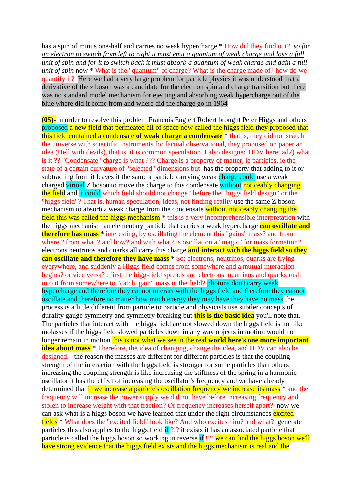has a spin of minus one-half and carries no weak hypercharge \* How did they find out? *so for an electron to switch from left to right it must emit a quantum of weak charge and lose a full unit of spin and for it to switch back it must absorb a quantum of weak charge and gain a full unit of spin* now \* What is the "quantum" of charge? What is the charge made of? how do we quantify it? Here we had a very large problem for particle physics it was understood that a derivative of the z boson was a candidate for the electron spin and charge transition but there was no standard model mechanism for ejecting and absorbing weak hypercharge out of the blue where did it come from and where did the charge go in 1964

**(05)-** n order to resolve this problem Francois Englert Robert brought Peter Higgs and others proposed a new field that permeated all of space now called the higgs field they proposed that this field contained a condensate **of weak charge a condensate** \* that is, they did not search the universe with scientific instruments for factual observational, they proposed on paper an idea (Hell with devils), that is, it is common speculation. I also designed HDV here; ad2) what is it ?? "Condensate" charge is what ??? Charge is a property of matter, ie particles, ie the state of a certain curvature of "selected" dimensions but has the property that adding to it or subtracting from it leaves it the same a particle carrying weak charge could use a weak charged virtual Z boson to move the charge to this condensate without noticeably changing the field and it could which field should not change? before the "higgs field design" or the "higgs field"? That is, human speculation, ideas, not finding reality use the same Z boson mechanism to absorb a weak charge from the condensate without noticeably changing the field this was called the higgs mechanism<sup>\*</sup> this is a very incomprehensible interpretation with the higgs mechanism an elementary particle that carries a weak hypercharge **can oscillate and therefore has mass \*** interesting, by oscillating the element this "gains" mass? and from where ? from what ? and how? and with what? is oscillation a "magic" for mass formation? electrons neutrinos and quarks all carry this charge **and interact with the higgs field so they can oscillate and therefore they have mass**  $*$  So: electrons, neutrinos, quarks are flying everywhere, and suddenly a Higgs field comes from somewhere and a mutual interaction begins? or vice versa? : first the higg-field spreads and electrons, neutrinos and quarks rush into it from somewhere to "catch, gain" mass in the field? photons don't carry weak hypercharge and therefore they cannot interact with the higgs field and therefore they cannot oscillate and therefore no matter how much energy they may have they have no mass the process is a little different from particle to particle and physicists use subtler concepts of durality gauge symmetry and symmetry breaking but **this is the basic idea** you'll note that. The particles that interact with the higgs field are not slowed down the higgs field is not like molasses if the higgs field slowed particles down in any way objects in motion would no longer remain in motion this is not what we see in the real world here's one more important **idea about mass** \* Therefore, the idea of changing, change the idea, and HDV can also be designed. the reason the masses are different for different particles is that the coupling strength of the interaction with the higgs field is stronger for some particles than others increasing the coupling strength is like increasing the stiffness of the spring in a harmonic oscillator it has the effect of increasing the oscillator's frequency and we have already determined that if we increase a particle's oscillation frequency we increase its mass  $*$  and the frequency will increase the power supply we did not have before increasing frequency and stolen to increase weight with that fraction? Or frequency increases herself apart? now we can ask what is a higgs boson we have learned that under the right circumstances excited fields \* What does the "excited field" look like? And who excites him? and what? generate particles this also applies to the higgs field if ?!? it exists it has an associated particle that particle is called the higgs boson so working in reverse if !?! we can find the higgs boson we'll have strong evidence that the higgs field exists and the higgs mechanism is real and the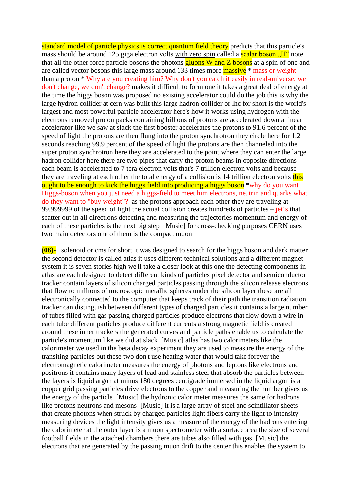standard model of particle physics is correct quantum field theory predicts that this particle's mass should be around 125 giga electron volts with zero spin called a **scalar boson**.  $H''$  note that all the other force particle bosons the photons  $\frac{gluons}{gluons}$  W and Z bosons at a spin of one and are called vector bosons this large mass around 133 times more **massive** \* mass or weight than a proton \* Why are you creating him? Why don't you catch it easily in real-universe, we don't change, we don't change? makes it difficult to form one it takes a great deal of energy at the time the higgs boson was proposed no existing accelerator could do the job this is why the large hydron collider at cern was built this large hadron collider or lhc for short is the world's largest and most powerful particle accelerator here's how it works using hydrogen with the electrons removed proton packs containing billions of protons are accelerated down a linear accelerator like we saw at slack the first booster accelerates the protons to 91.6 percent of the speed of light the protons are then flung into the proton synchrotron they circle here for 1.2 seconds reaching 99.9 percent of the speed of light the protons are then channeled into the super proton synchrotron here they are accelerated to the point where they can enter the large hadron collider here there are two pipes that carry the proton beams in opposite directions each beam is accelerated to 7 tera electron volts that's 7 trillion electron volts and because they are traveling at each other the total energy of a collision is 14 trillion electron volts this ought to be enough to kick the higgs field into producing a higgs boson \*why do you want Higgs-boson when you just need a higgs-field to meet him electrons, neutrin and quarks what do they want to "buy weight"? as the protons approach each other they are traveling at 99.999999 of the speed of light the actual collision creates hundreds of particles –  $jet's$  that scatter out in all directions detecting and measuring the trajectories momentum and energy of each of these particles is the next big step [Music] for cross-checking purposes CERN uses two main detectors one of them is the compact muon

**(06)-** solenoid or cms for short it was designed to search for the higgs boson and dark matter the second detector is called atlas it uses different technical solutions and a different magnet system it is seven stories high we'll take a closer look at this one the detecting components in atlas are each designed to detect different kinds of particles pixel detector and semiconductor tracker contain layers of silicon charged particles passing through the silicon release electrons that flow to millions of microscopic metallic spheres under the silicon layer these are all electronically connected to the computer that keeps track of their path the transition radiation tracker can distinguish between different types of charged particles it contains a large number of tubes filled with gas passing charged particles produce electrons that flow down a wire in each tube different particles produce different currents a strong magnetic field is created around these inner trackers the generated curves and particle paths enable us to calculate the particle's momentum like we did at slack [Music] atlas has two calorimeters like the calorimeter we used in the beta decay experiment they are used to measure the energy of the transiting particles but these two don't use heating water that would take forever the electromagnetic calorimeter measures the energy of photons and leptons like electrons and positrons it contains many layers of lead and stainless steel that absorb the particles between the layers is liquid argon at minus 180 degrees centigrade immersed in the liquid argon is a copper grid passing particles drive electrons to the copper and measuring the number gives us the energy of the particle [Music] the hydronic calorimeter measures the same for hadrons like protons neutrons and mesons [Music] it is a large array of steel and scintillator sheets that create photons when struck by charged particles light fibers carry the light to intensity measuring devices the light intensity gives us a measure of the energy of the hadrons entering the calorimeter at the outer layer is a muon spectrometer with a surface area the size of several football fields in the attached chambers there are tubes also filled with gas [Music] the electrons that are generated by the passing muon drift to the center this enables the system to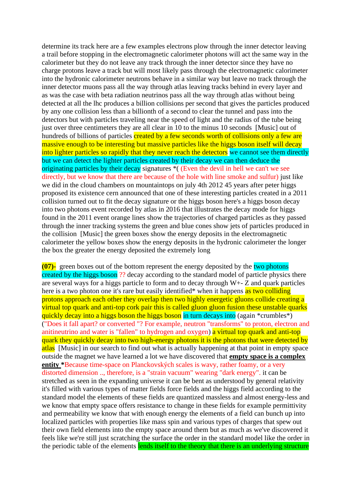determine its track here are a few examples electrons plow through the inner detector leaving a trail before stopping in the electromagnetic calorimeter photons will act the same way in the calorimeter but they do not leave any track through the inner detector since they have no charge protons leave a track but will most likely pass through the electromagnetic calorimeter into the hydronic calorimeter neutrons behave in a similar way but leave no track through the inner detector muons pass all the way through atlas leaving tracks behind in every layer and as was the case with beta radiation neutrinos pass all the way through atlas without being detected at all the lhc produces a billion collisions per second that gives the particles produced by any one collision less than a billionth of a second to clear the tunnel and pass into the detectors but with particles traveling near the speed of light and the radius of the tube being just over three centimeters they are all clear in 10 to the minus 10 seconds [Music] out of hundreds of billions of particles created by a few seconds worth of collisions only a few are massive enough to be interesting but massive particles like the higgs boson itself will decay into lighter particles so rapidly that they never reach the detectors we cannot see them directly but we can detect the lighter particles created by their decay we can then deduce the originating particles by their decay signatures \*( (Even the devil in hell we can't we see directly, but we know that there are because of the hole with line smoke and sulfur) just like we did in the cloud chambers on mountaintops on july 4th 2012 45 years after peter higgs proposed its existence cern announced that one of these interesting particles created in a 2011 collision turned out to fit the decay signature or the higgs boson here's a higgs boson decay into two photons event recorded by atlas in 2016 that illustrates the decay mode for higgs found in the 2011 event orange lines show the trajectories of charged particles as they passed through the inner tracking systems the green and blue cones show jets of particles produced in the collision [Music] the green boxes show the energy deposits in the electromagnetic calorimeter the yellow boxes show the energy deposits in the hydronic calorimeter the longer the box the greater the energy deposited the extremely long

**(07)**- green boxes out of the bottom represent the energy deposited by the two photons created by the higgs boson ?? decay according to the standard model of particle physics there are several ways for a higgs particle to form and to decay through W+- Z and quark particles here is a two photon one it's rare but easily identified\* when it happens as two colliding protons approach each other they overlap then two highly energetic gluons collide creating a virtual top quark and anti-top cork pair this is called gluon gluon fusion these unstable quarks quickly decay into a higgs boson the higgs boson in turn decays into (again \*crumbles\*) ("Does it fall apart? or converted "? For example, neutron "transforms" to proton, electron and anitineutrino and water is "fallen" to hydrogen and oxygen) a virtual top quark and anti-top quark they quickly decay into two high-energy photons it is the photons that were detected by atlas [Music] in our search to find out what is actually happening at that point in empty space outside the magnet we have learned a lot we have discovered that **empty space is a complex entity \***Because time-space on Planckovských scales is wavy, rather foamy, or a very distorted dimension .., therefore, is a "strain vacuum" wearing "dark energy". it can be stretched as seen in the expanding universe it can be bent as understood by general relativity it's filled with various types of matter fields force fields and the higgs field according to the standard model the elements of these fields are quantized massless and almost energy-less and we know that empty space offers resistance to change in these fields for example permittivity and permeability we know that with enough energy the elements of a field can bunch up into localized particles with properties like mass spin and various types of charges that spew out their own field elements into the empty space around them but as much as we've discovered it feels like we're still just scratching the surface the order in the standard model like the order in the periodic table of the elements lends itself to the theory that there is an underlying structure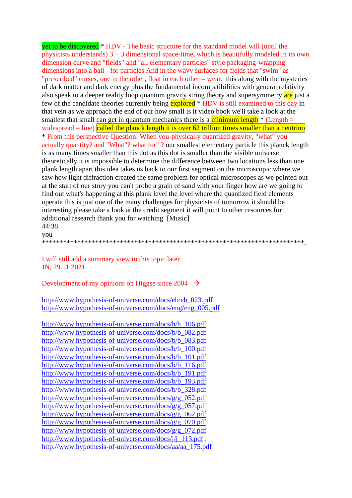yet to be discovered \* HDV - The basic structure for the standard model will (until the physicists understands)  $3 + 3$  dimensional space-time, which is beautifully modeled in its own dimension curve and "fields" and "all elementary particles" style packaging-wrapping dimensions into a ball - for particles And in the wavy surfaces for fields that "swim" as "prescribed" curses, one in the other, float in each other = wear. this along with the mysteries of dark matter and dark energy plus the fundamental incompatibilities with general relativity also speak to a deeper reality loop quantum gravity string theory and supersymmetry are just a few of the candidate theories currently being explored \* HDV is still examined to this day in that vein as we approach the end of our how small is it video book we'll take a look at the smallest that small can get in quantum mechanics there is a minimum length  $*$  (Length = widespread  $=$  line) called the planck length it is over 62 trillion times smaller than a neutrino \* From this perspective Question: When you-physically quantized gravity, "what" you actually quantity? and "What"? what for" ? our smallest elementary particle this planck length is as many times smaller than this dot as this dot is smaller than the visible universe theoretically it is impossible to determine the difference between two locations less than one plank length apart this idea takes us back to our first segment on the microscopic where we saw how light diffraction created the same problem for optical microscopes as we pointed out at the start of our story you can't probe a grain of sand with your finger how are we going to find out what's happening at this plank level the level where the quantized field elements operate this is just one of the many challenges for physicists of tomorrow it should be interesting please take a look at the credit segment it will point to other resources for additional research thank you for watching [Music] 44:38

you

\*\*\*\*\*\*\*\*\*\*\*\*\*\*\*\*\*\*\*\*\*\*\*\*\*\*\*\*\*\*\*\*\*\*\*\*\*\*\*\*\*\*\*\*\*\*\*\*\*\*\*\*\*\*\*\*\*\*\*\*\*\*\*\*\*\*\*\*\*\*\*\*\*\*.

I will still add a summary view to this topic later JN, 29.11.2021

Development of my opinions on Higgse since  $2004 \rightarrow$ 

[http://www.hypothesis-of-universe.com/docs/eb/eb\\_023.pdf](http://www.hypothesis-of-universe.com/docs/eb/eb_023.pdf) [http://www.hypothesis-of-universe.com/docs/eng/eng\\_005.pdf](http://www.hypothesis-of-universe.com/docs/eng/eng_005.pdf)

[http://www.hypothesis-of-universe.com/docs/h/h\\_106.pdf](http://www.hypothesis-of-universe.com/docs/h/h_106.pdf) [http://www.hypothesis-of-universe.com/docs/b/b\\_082.pdf](http://www.hypothesis-of-universe.com/docs/b/b_082.pdf) [http://www.hypothesis-of-universe.com/docs/b/b\\_083.pdf](http://www.hypothesis-of-universe.com/docs/b/b_083.pdf) [http://www.hypothesis-of-universe.com/docs/b/b\\_100.pdf](http://www.hypothesis-of-universe.com/docs/b/b_100.pdf) [http://www.hypothesis-of-universe.com/docs/b/b\\_101.pdf](http://www.hypothesis-of-universe.com/docs/b/b_101.pdf) [http://www.hypothesis-of-universe.com/docs/b/b\\_116.pdf](http://www.hypothesis-of-universe.com/docs/b/b_116.pdf) [http://www.hypothesis-of-universe.com/docs/b/b\\_191.pdf](http://www.hypothesis-of-universe.com/docs/b/b_191.pdf) [http://www.hypothesis-of-universe.com/docs/b/b\\_193.pdf](http://www.hypothesis-of-universe.com/docs/b/b_193.pdf) [http://www.hypothesis-of-universe.com/docs/b/b\\_328.pdf](http://www.hypothesis-of-universe.com/docs/b/b_328.pdf) [http://www.hypothesis-of-universe.com/docs/g/g\\_052.pdf](http://www.hypothesis-of-universe.com/docs/g/g_052.pdf) [http://www.hypothesis-of-universe.com/docs/g/g\\_057.pdf](http://www.hypothesis-of-universe.com/docs/g/g_057.pdf) [http://www.hypothesis-of-universe.com/docs/g/g\\_062.pdf](http://www.hypothesis-of-universe.com/docs/g/g_062.pdf) [http://www.hypothesis-of-universe.com/docs/g/g\\_070.pdf](http://www.hypothesis-of-universe.com/docs/g/g_070.pdf) [http://www.hypothesis-of-universe.com/docs/g/g\\_072.pdf](http://www.hypothesis-of-universe.com/docs/g/g_072.pdf) [http://www.hypothesis-of-universe.com/docs/j/j\\_113.pdf](http://www.hypothesis-of-universe.com/docs/j/j_113.pdf) ; [http://www.hypothesis-of-universe.com/docs/aa/aa\\_175.pdf](http://www.hypothesis-of-universe.com/docs/aa/aa_175.pdf)